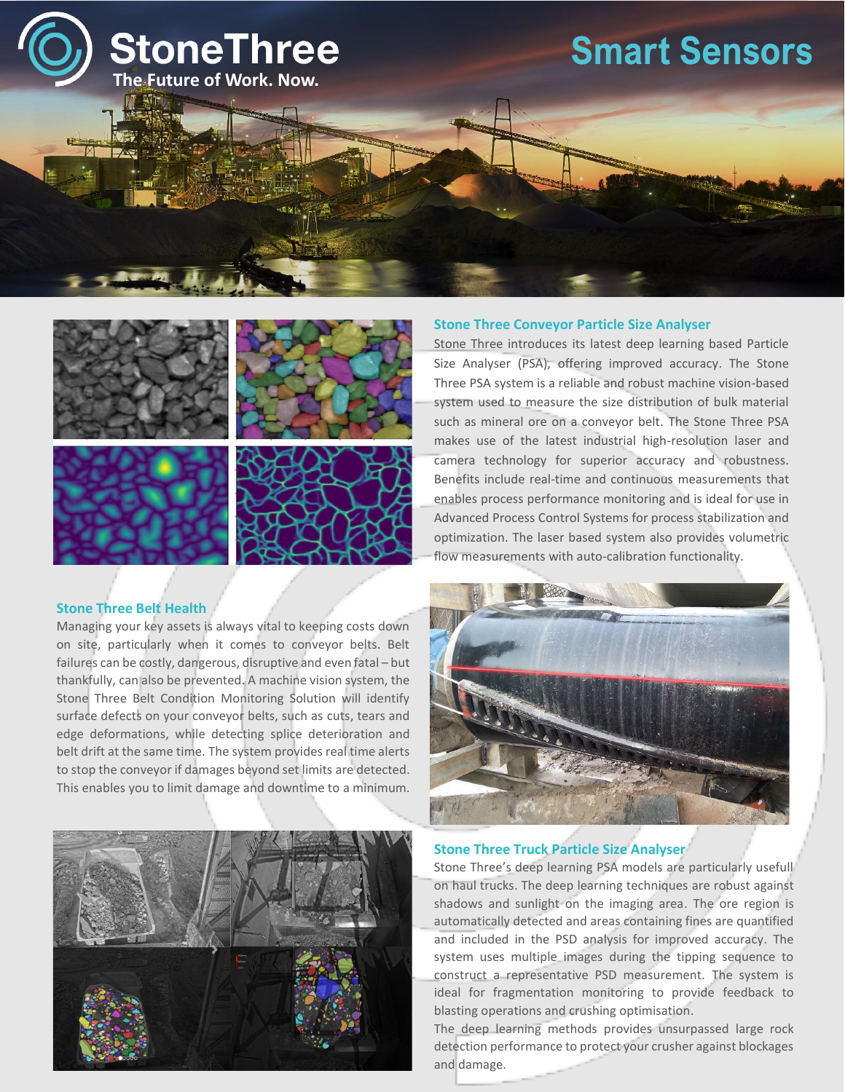

# **Smart Sensors**





### **Stone Three Belt Health**

Managing your key assets is always vital to keeping costs down on site, particularly when it comes to conveyor belts. Belt failures can be costly, dangerous, disruptive and even fatal – but thankfully, can also be prevented. A machine vision system, the Stone Three Belt Condition Monitoring Solution will identify surface defects on your conveyor belts, such as cuts, tears and edge deformations, while detecting splice deterioration and belt drift at the same time. The system provides real time alerts to stop the conveyor if damages beyond set limits are detected. This enables you to limit damage and downtime to a minimum.



#### **Stone Three Conveyor Particle Size Analyser**

Stone Three introduces its latest deep learning based Particle Size Analyser (PSA), offering improved accuracy. The Stone Three PSA system is a reliable and robust machine vision-based system used to measure the size distribution of bulk material such as mineral ore on a conveyor belt. The Stone Three PSA makes use of the latest industrial high-resolution laser and camera technology for superior accuracy and robustness. Benefits include real-time and continuous measurements that enables process performance monitoring and is ideal for use in Advanced Process Control Systems for process stabilization and optimization. The laser based system also provides volumetric flow measurements with auto-calibration functionality.



#### **Stone Three Truck Particle Size Analyser**

Stone Three's deep learning PSA models are particularly usefull on haul trucks. The deep learning techniques are robust against shadows and sunlight on the imaging area. The ore region is automatically detected and areas containing fines are quantified and included in the PSD analysis for improved accuracy. The system uses multiple images during the tipping sequence to construct a representative PSD measurement. The system is ideal for fragmentation monitoring to provide feedback to blasting operations and crushing optimisation.

The deep learning methods provides unsurpassed large rock detection performance to protect your crusher against blockages and damage.